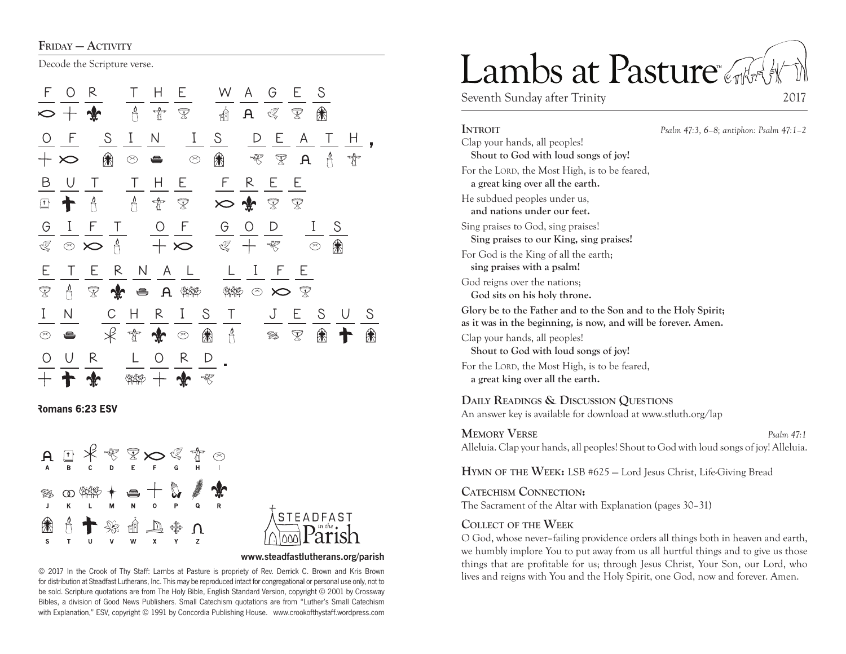## FRIDAY — ACTIVITY

Decode the Scripture verse.

| FOR<br>T H E<br>W<br>A G E S                                                                                                                                                                                                                                                                                                                                                                                                                               |
|------------------------------------------------------------------------------------------------------------------------------------------------------------------------------------------------------------------------------------------------------------------------------------------------------------------------------------------------------------------------------------------------------------------------------------------------------------|
| $\infty + \clubsuit$ d t s a a s s a                                                                                                                                                                                                                                                                                                                                                                                                                       |
| S I N I S<br>$-F$<br>D E A T H<br>$\circ$                                                                                                                                                                                                                                                                                                                                                                                                                  |
| $\circledast$ $\circledast$ $\circledast$<br>金<br>$\begin{picture}(60,6) \put(0,0){\vector(0,1){30}} \put(15,0){\vector(0,1){30}} \put(15,0){\vector(0,1){30}} \put(15,0){\vector(0,1){30}} \put(15,0){\vector(0,1){30}} \put(15,0){\vector(0,1){30}} \put(15,0){\vector(0,1){30}} \put(15,0){\vector(0,1){30}} \put(15,0){\vector(0,1){30}} \put(15,0){\vector(0,1){30}} \put(15,0){\vector(0,1){30}} \put(15,0){\vector(0,$<br>- 개<br>$+\infty$          |
| FREE<br>T H E<br>B<br>U T                                                                                                                                                                                                                                                                                                                                                                                                                                  |
| $A + B + D$<br>□ 十<br>$\mathcal{L}$<br>◇☆▼▼                                                                                                                                                                                                                                                                                                                                                                                                                |
| O F<br>G O D I S<br>G<br>$F$ T<br>$\mathbf{I}$                                                                                                                                                                                                                                                                                                                                                                                                             |
| $\begin{array}{cccccccccccccc} \mathbb{Z} & \circ & \!\!\!\! \infty & \mathbb{A} & \!\!\!\! \infty & \mathbb{A} & \mathbb{A} & \mathbb{A} & \mathbb{B} & \mathbb{B} & \mathbb{B} & \mathbb{B} & \mathbb{B} & \mathbb{B} & \mathbb{B} & \mathbb{B} & \mathbb{B} & \mathbb{B} & \mathbb{B} & \mathbb{B} & \mathbb{B} & \mathbb{B} & \mathbb{B} & \mathbb{B} & \mathbb{B} & \mathbb{B} & \mathbb{B} & \mathbb{B} & \mathbb{B} & \mathbb{B} &$<br>箫<br>$\circ$ |
| T E R N A L<br>LIFE<br>$E_{\parallel}$                                                                                                                                                                                                                                                                                                                                                                                                                     |
| Å ∑ <b>*</b> ⇔ A ∰<br>$\overline{\mathscr{L}}$<br>$\text{W} \circ \text{X} \subset \mathbb{R}$                                                                                                                                                                                                                                                                                                                                                             |
| CHRIST JESUS<br>$\mathbf{I}$<br>${\sf N}$                                                                                                                                                                                                                                                                                                                                                                                                                  |
| 米 十 永 ◎ 角 台   ※ 豆 角 十<br>閑<br>$\odot$<br>鲁                                                                                                                                                                                                                                                                                                                                                                                                                 |
| $\circ$<br>L O R D<br>$\cup$<br>R                                                                                                                                                                                                                                                                                                                                                                                                                          |
| $x$ $\Rightarrow$ $+$<br>$+$ $+$<br>$\bar{\mathcal{X}}$<br>$\mathcal{R}$                                                                                                                                                                                                                                                                                                                                                                                   |

#### Romans 6:23 ESV





#### **www.steadfastlutherans.org/parish**

for distribution at Steadfast Lutherans, Inc. This may be reproduced intact for congregational or personal use only, not to be sold. Scripture quotations are from The Holy Bible, English Standard Version, copyright © 2001 by Crossway Bibles, a division of Good News Publishers. Small Catechism quotations are from "Luther's Small Catechism with Explanation," ESV, copyright © 1991 by Concordia Publishing House. www.crookofthystaff.wordpress.com

# Lambs at Pasture

Seventh Sunday after Trinity 2017

**Introit** *Psalm 47:3, 6–8; antiphon: Psalm 47:1–2* Clap your hands, all peoples! **Shout to God with loud songs of joy!**  For the LORD, the Most High, is to be feared, **a great king over all the earth.**  He subdued peoples under us, **and nations under our feet.**  Sing praises to God, sing praises! **Sing praises to our King, sing praises!**  For God is the King of all the earth; **sing praises with a psalm!**  God reigns over the nations; **God sits on his holy throne. Glory be to the Father and to the Son and to the Holy Spirit; as it was in the beginning, is now, and will be forever. Amen.** Clap your hands, all peoples! **Shout to God with loud songs of joy!**  For the LORD, the Most High, is to be feared, **a great king over all the earth.**

## **Daily Readings & Discussion Questions**

An answer key is available for download at www.stluth.org/lap

**Memory Verse** *Psalm 47:1* Alleluia. Clap your hands, all peoples! Shout to God with loud songs of joy! Alleluia.

**Hymn of the Week:** LSB #625 — Lord Jesus Christ, Life-Giving Bread

**Catechism Connection:** The Sacrament of the Altar with Explanation (pages 30–31)

## **Collect of the Week**

O God, whose never–failing providence orders all things both in heaven and earth, we humbly implore You to put away from us all hurtful things and to give us those things that are profitable for us; through Jesus Christ, Your Son, our Lord, who © 2017 In the Crook of Thy Staff: Lambs at Pasture is propriety of Rev. Derrick C. Brown and Kris Brown<br>
lives and reigns with You and the Holy Spirit, one God, now and forever. Amen.